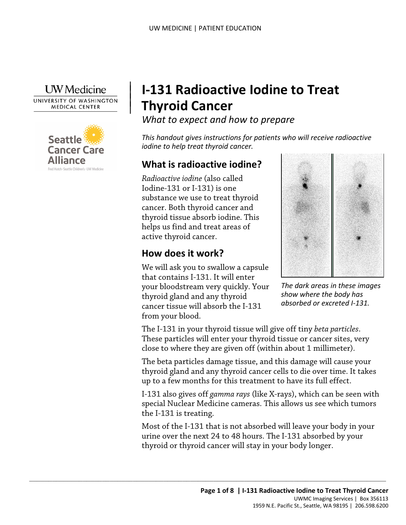

|

 $\vert$  $\vert$ 



# | **I-131 Radioactive Iodine to Treat Thyroid Cancer**

*What to expect and how to prepare* 

 *iodine to help treat thyroid cancer. This handout gives instructions for patients who will receive radioactive* 

# **What is radioactive iodine?**

 *Radioactive iodine* (also called Iodine-131 or I-131) is one<br>substance we use to treat thyroid<br>cancer. Both thyroid cancer and<br>thyroid tissue absorb iodine. This<br>helps us find and treat areas of<br>active thyroid cancer.<br>**How does it work?** Iodine-131 or I-131) is one substance we use to treat thyroid cancer. Both thyroid cancer and thyroid tissue absorb iodine. This helps us find and treat areas of active thyroid cancer.

### **How does it work?**

We will ask you to swallow a capsule that contains I-131. It will enter your bloodstream very quickly. Your thyroid gland and any thyroid cancer tissue will absorb the I-131 from your blood.

 $\_$  ,  $\_$  ,  $\_$  ,  $\_$  ,  $\_$  ,  $\_$  ,  $\_$  ,  $\_$  ,  $\_$  ,  $\_$  ,  $\_$  ,  $\_$  ,  $\_$  ,  $\_$  ,  $\_$  ,  $\_$  ,  $\_$  ,  $\_$  ,  $\_$  ,  $\_$  ,  $\_$  ,  $\_$  ,  $\_$  ,  $\_$  ,  $\_$  ,  $\_$  ,  $\_$  ,  $\_$  ,  $\_$  ,  $\_$  ,  $\_$  ,  $\_$  ,  $\_$  ,  $\_$  ,  $\_$  ,  $\_$  ,  $\_$  ,



*The dark areas in these images show where the body has absorbed or excreted I-131.* 

The I-131 in your thyroid tissue will give off tiny *beta particles*. These particles will enter your thyroid tissue or cancer sites, very close to where they are given off (within about 1 millimeter).

The beta particles damage tissue, and this damage will cause your thyroid gland and any thyroid cancer cells to die over time. It takes up to a few months for this treatment to have its full effect.

I-131 also gives off *gamma rays* (like X-rays), which can be seen with special Nuclear Medicine cameras. This allows us see which tumors the I-131 is treating.

Most of the I-131 that is not absorbed will leave your body in your urine over the next 24 to 48 hours. The I-131 absorbed by your thyroid or thyroid cancer will stay in your body longer.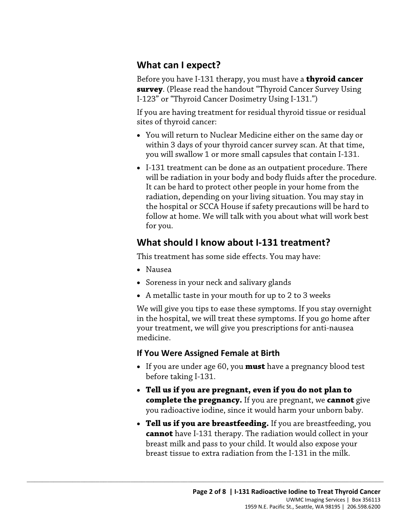# **What can I expect?**

Before you have I-131 therapy, you must have a **thyroid cancer survey**. (Please read the handout "Thyroid Cancer Survey Using I-123" or "Thyroid Cancer Dosimetry Using I-131.")

If you are having treatment for residual thyroid tissue or residual sites of thyroid cancer:

- • You will return to Nuclear Medicine either on the same day or within 3 days of your thyroid cancer survey scan. At that time, you will swallow 1 or more small capsules that contain I-131.
- • I-131 treatment can be done as an outpatient procedure. There retains the hand to proceed offer people in your flome from the<br>radiation, depending on your living situation. You may stay in<br>the hospital or SCCA House if safety precautions will be hard t<br>follow at home. We will talk wi will be radiation in your body and body fluids after the procedure. It can be hard to protect other people in your home from the radiation, depending on your living situation. You may stay in the hospital or SCCA House if safety precautions will be hard to follow at home. We will talk with you about what will work best for you.

# **What should I know about I-131 treatment?**

This treatment has some side effects. You may have:

- Nausea
- Soreness in your neck and salivary glands
- A metallic taste in your mouth for up to 2 to 3 weeks

 We will give you tips to ease these symptoms. If you stay overnight in the hospital, we will treat these symptoms. If you go home after your treatment, we will give you prescriptions for anti-nausea medicine.

### **If You Were Assigned Female at Birth**

 $\_$  ,  $\_$  ,  $\_$  ,  $\_$  ,  $\_$  ,  $\_$  ,  $\_$  ,  $\_$  ,  $\_$  ,  $\_$  ,  $\_$  ,  $\_$  ,  $\_$  ,  $\_$  ,  $\_$  ,  $\_$  ,  $\_$  ,  $\_$  ,  $\_$  ,  $\_$  ,  $\_$  ,  $\_$  ,  $\_$  ,  $\_$  ,  $\_$  ,  $\_$  ,  $\_$  ,  $\_$  ,  $\_$  ,  $\_$  ,  $\_$  ,  $\_$  ,  $\_$  ,  $\_$  ,  $\_$  ,  $\_$  ,  $\_$  ,

- • If you are under age 60, you **must** have a pregnancy blood test before taking I-131.
- **complete the pregnancy.** If you are pregnant, we **cannot** give • **Tell us if you are pregnant, even if you do not plan to**  you radioactive iodine, since it would harm your unborn baby.
- **Tell us if you are breastfeeding.** If you are breastfeeding, you **cannot** have I-131 therapy. The radiation would collect in your breast milk and pass to your child. It would also expose your breast tissue to extra radiation from the I-131 in the milk.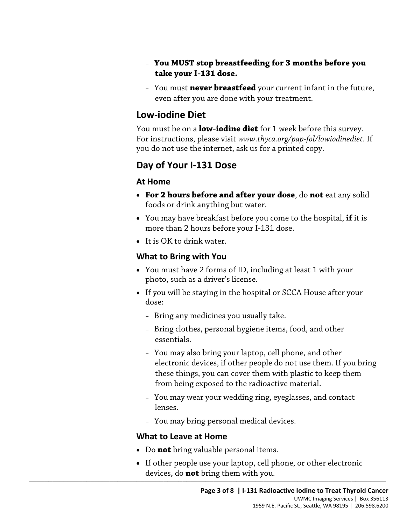- **You MUST stop breastfeeding for 3 months before you take your I-131 dose.**
- You must **never breastfeed** your current infant in the future, even after you are done with your treatment.

### **Low-iodine Diet**

 You must be on a **low-iodine diet** for 1 week before this survey. For instructions, please visit *<www.thyca.org/pap-fol/lowiodinediet>.* If you do not use the internet, ask us for a printed copy.

# **Day of Your I-131 Dose**

### **At Home**

- **For 2 hours before and after your dose**, do **not** eat any solid foods or drink anything but water.
- You may have breakfast before you come to the hospital, **if** it is more than 2 hours before your I-131 dose.
- It is OK to drink water.

### **What to Bring with You**

- You must have 2 forms of ID, including at least 1 with your photo, such as a driver's license.
- If you will be staying in the hospital or SCCA House after your dose:
	- Bring any medicines you usually take.
	- Bring clothes, personal hygiene items, food, and other essentials.
	- these things, you can cover them with plastic to keep them – You may also bring your laptop, cell phone, and other electronic devices, if other people do not use them. If you bring from being exposed to the radioactive material.
	- You may wear your wedding ring, eyeglasses, and contact lenses.
	- You may bring personal medical devices.

### **What to Leave at Home**

- Do **not** bring valuable personal items.
- $\overline{S}$  , and the contribution of the contribution of  $\overline{S}$  , and  $\overline{S}$  , and  $\overline{S}$  , and  $\overline{S}$  , and  $\overline{S}$  , and  $\overline{S}$ • If other people use your laptop, cell phone, or other electronic devices, do **not** bring them with you.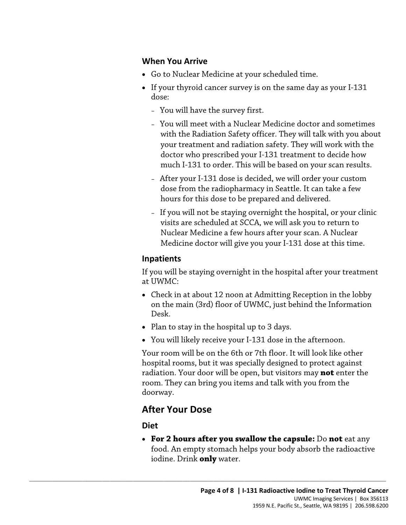#### **When You Arrive**

- Go to Nuclear Medicine at your scheduled time.
- If your thyroid cancer survey is on the same day as your I-131 dose:
	- You will have the survey first.
	- much I-131 to order. This will be based on your scan results. – You will meet with a Nuclear Medicine doctor and sometimes with the Radiation Safety officer. They will talk with you about your treatment and radiation safety. They will work with the doctor who prescribed your I-131 treatment to decide how
	- After your I-131 dose is decided, we will order your custom dose from the radiopharmacy in Seattle. It can take a few hours for this dose to be prepared and delivered.
	- – If you will not be staying overnight the hospital, or your clinic visits are scheduled at SCCA, we will ask you to return to Nuclear Medicine a few hours after your scan. A Nuclear Medicine doctor will give you your I-131 dose at this time.

#### **Inpatients**

 If you will be staying overnight in the hospital after your treatment at UWMC:

- Check in at about 12 noon at Admitting Reception in the lobby on the main (3rd) floor of UWMC, just behind the Information Desk.
- Plan to stay in the hospital up to 3 days.

 $\_$  ,  $\_$  ,  $\_$  ,  $\_$  ,  $\_$  ,  $\_$  ,  $\_$  ,  $\_$  ,  $\_$  ,  $\_$  ,  $\_$  ,  $\_$  ,  $\_$  ,  $\_$  ,  $\_$  ,  $\_$  ,  $\_$  ,  $\_$  ,  $\_$  ,  $\_$  ,  $\_$  ,  $\_$  ,  $\_$  ,  $\_$  ,  $\_$  ,  $\_$  ,  $\_$  ,  $\_$  ,  $\_$  ,  $\_$  ,  $\_$  ,  $\_$  ,  $\_$  ,  $\_$  ,  $\_$  ,  $\_$  ,  $\_$  ,

• You will likely receive your I-131 dose in the afternoon.

 radiation. Your door will be open, but visitors may **not** enter the Your room will be on the 6th or 7th floor. It will look like other hospital rooms, but it was specially designed to protect against room. They can bring you items and talk with you from the doorway.

# **After Your Dose**

#### **Diet**

• **For 2 hours after you swallow the capsule:** Do **not** eat any food. An empty stomach helps your body absorb the radioactive iodine. Drink **only** water.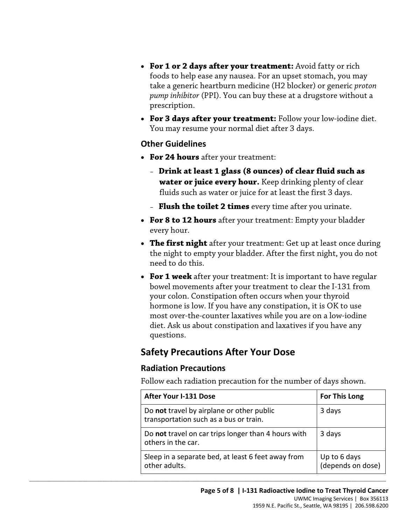- foods to help ease any nausea. For an upset stomach, you may take a generic heartburn medicine (H2 blocker) or generic *proton pump inhibitor* (PPI). You can buy these at a drugstore without a • **For 1 or 2 days after your treatment:** Avoid fatty or rich prescription.
- **For 3 days after your treatment:** Follow your low-iodine diet. You may resume your normal diet after 3 days.

#### **Other Guidelines**

- **For 24 hours** after your treatment:
	- **Drink at least 1 glass (8 ounces) of clear fluid such as water or juice every hour.** Keep drinking plenty of clear fluids such as water or juice for at least the first 3 days.
	- **Flush the toilet 2 times** every time after you urinate.
- **For 8 to 12 hours** after your treatment: Empty your bladder every hour.
- **The first night** after your treatment: Get up at least once during the night to empty your bladder. After the first night, you do not need to do this.
- your colon. Constipation often occurs when your thyroid hormone is low. If you have any constipation, it is OK to use • **For 1 week** after your treatment: It is important to have regular bowel movements after your treatment to clear the I-131 from most over-the-counter laxatives while you are on a low-iodine diet. Ask us about constipation and laxatives if you have any questions.

### **Safety Precautions After Your Dose**

 $\_$  ,  $\_$  ,  $\_$  ,  $\_$  ,  $\_$  ,  $\_$  ,  $\_$  ,  $\_$  ,  $\_$  ,  $\_$  ,  $\_$  ,  $\_$  ,  $\_$  ,  $\_$  ,  $\_$  ,  $\_$  ,  $\_$  ,  $\_$  ,  $\_$  ,  $\_$  ,  $\_$  ,  $\_$  ,  $\_$  ,  $\_$  ,  $\_$  ,  $\_$  ,  $\_$  ,  $\_$  ,  $\_$  ,  $\_$  ,  $\_$  ,  $\_$  ,  $\_$  ,  $\_$  ,  $\_$  ,  $\_$  ,  $\_$  ,

#### **Radiation Precautions**

Follow each radiation precaution for the number of days shown.

| <b>After Your I-131 Dose</b>                                                        | <b>For This Long</b>              |
|-------------------------------------------------------------------------------------|-----------------------------------|
| Do not travel by airplane or other public<br>transportation such as a bus or train. | 3 days                            |
| Do not travel on car trips longer than 4 hours with<br>others in the car.           | 3 days                            |
| Sleep in a separate bed, at least 6 feet away from<br>other adults.                 | Up to 6 days<br>(depends on dose) |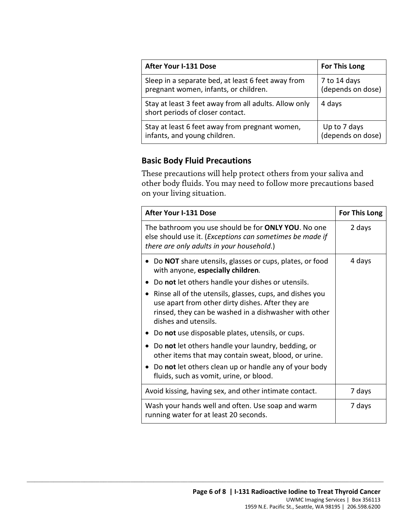| <b>After Your I-131 Dose</b>                                                              | <b>For This Long</b> |
|-------------------------------------------------------------------------------------------|----------------------|
| Sleep in a separate bed, at least 6 feet away from                                        | 7 to 14 days         |
| pregnant women, infants, or children.                                                     | (depends on dose)    |
| Stay at least 3 feet away from all adults. Allow only<br>short periods of closer contact. | 4 days               |
| Stay at least 6 feet away from pregnant women,                                            | Up to 7 days         |
| infants, and young children.                                                              | (depends on dose)    |

#### **Basic Body Fluid Precautions**

 $\_$  ,  $\_$  ,  $\_$  ,  $\_$  ,  $\_$  ,  $\_$  ,  $\_$  ,  $\_$  ,  $\_$  ,  $\_$  ,  $\_$  ,  $\_$  ,  $\_$  ,  $\_$  ,  $\_$  ,  $\_$  ,  $\_$  ,  $\_$  ,  $\_$  ,  $\_$  ,  $\_$  ,  $\_$  ,  $\_$  ,  $\_$  ,  $\_$  ,  $\_$  ,  $\_$  ,  $\_$  ,  $\_$  ,  $\_$  ,  $\_$  ,  $\_$  ,  $\_$  ,  $\_$  ,  $\_$  ,  $\_$  ,  $\_$  ,

 other body fluids. You may need to follow more precautions based on your living situation. These precautions will help protect others from your saliva and

| <b>After Your I-131 Dose</b>                                                                                                                                                                                | For This Long |
|-------------------------------------------------------------------------------------------------------------------------------------------------------------------------------------------------------------|---------------|
| The bathroom you use should be for ONLY YOU. No one<br>else should use it. (Exceptions can sometimes be made if<br>there are only adults in your household.)                                                | 2 days        |
| • Do NOT share utensils, glasses or cups, plates, or food<br>with anyone, especially children.                                                                                                              | 4 days        |
| Do not let others handle your dishes or utensils.<br>$\bullet$                                                                                                                                              |               |
| Rinse all of the utensils, glasses, cups, and dishes you<br>$\bullet$<br>use apart from other dirty dishes. After they are<br>rinsed, they can be washed in a dishwasher with other<br>dishes and utensils. |               |
| Do not use disposable plates, utensils, or cups.                                                                                                                                                            |               |
| Do not let others handle your laundry, bedding, or<br>$\bullet$<br>other items that may contain sweat, blood, or urine.                                                                                     |               |
| Do not let others clean up or handle any of your body<br>fluids, such as vomit, urine, or blood.                                                                                                            |               |
| Avoid kissing, having sex, and other intimate contact.                                                                                                                                                      | 7 days        |
| Wash your hands well and often. Use soap and warm<br>running water for at least 20 seconds.                                                                                                                 | 7 days        |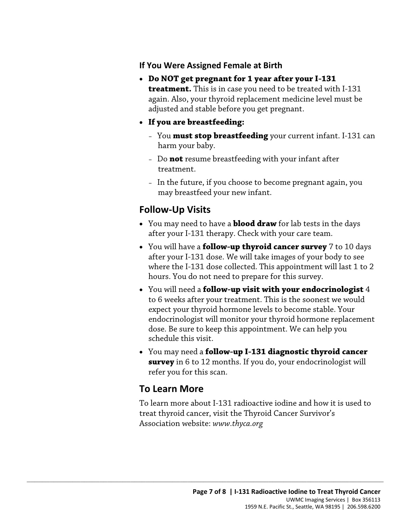#### **If You Were Assigned Female at Birth**

- again. Also, your thyroid replacement medicine level must be • **Do NOT get pregnant for 1 year after your I-131 treatment.** This is in case you need to be treated with I-131 adjusted and stable before you get pregnant.
- **If you are breastfeeding:** 
	- harm your baby. – You **must stop breastfeeding** your current infant. I-131 can
	- treatment. – Do **not** resume breastfeeding with your infant after
	- In the future, if you choose to become pregnant again, you may breastfeed your new infant.

# **Follow-Up Visits**

- You may need to have a **blood draw** for lab tests in the days after your I-131 therapy. Check with your care team.
- may breastfeed your new infant.<br> **Follow-Up Visits**<br>
 You may need to have a **blood draw** for lab tests in the days<br>
after your I-131 therapy. Check with your care team.<br>
 You will have a **follow-up thyroid cancer survey** • You will have a **follow-up thyroid cancer survey** 7 to 10 days after your I-131 dose. We will take images of your body to see where the I-131 dose collected. This appointment will last 1 to 2 hours. You do not need to prepare for this survey.
	- to 6 weeks after your treatment. This is the soonest we would • You will need a **follow-up visit with your endocrinologist** 4 expect your thyroid hormone levels to become stable. Your endocrinologist will monitor your thyroid hormone replacement dose. Be sure to keep this appointment. We can help you schedule this visit.
	- You may need a **follow-up I-131 diagnostic thyroid cancer survey** in 6 to 12 months. If you do, your endocrinologist will refer you for this scan.

# **To Learn More**

 $\_$  ,  $\_$  ,  $\_$  ,  $\_$  ,  $\_$  ,  $\_$  ,  $\_$  ,  $\_$  ,  $\_$  ,  $\_$  ,  $\_$  ,  $\_$  ,  $\_$  ,  $\_$  ,  $\_$  ,  $\_$  ,  $\_$  ,  $\_$  ,  $\_$  ,  $\_$  ,  $\_$  ,  $\_$  ,  $\_$  ,  $\_$  ,  $\_$  ,  $\_$  ,  $\_$  ,  $\_$  ,  $\_$  ,  $\_$  ,  $\_$  ,  $\_$  ,  $\_$  ,  $\_$  ,  $\_$  ,  $\_$  ,  $\_$  ,

To learn more about I-131 radioactive iodine and how it is used to treat thyroid cancer, visit the Thyroid Cancer Survivor's Association website: *<www.thyca.org>*